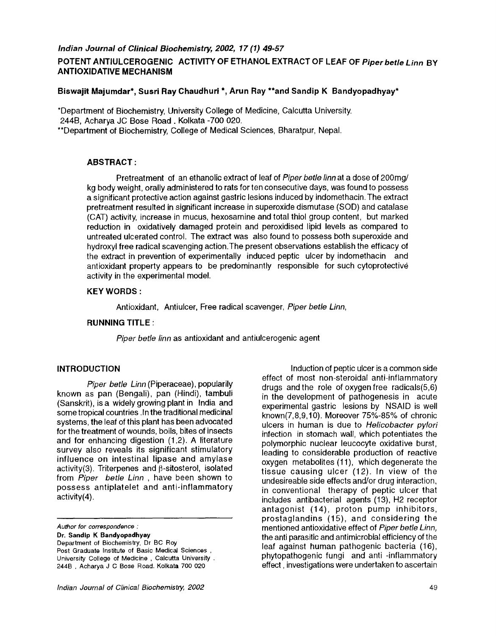#### **POTENT ANTIULCEROGENIC ACTIVITY OF ETHANOL EXTRACT OF LEAF OF** *Piper betle Linn* **BY ANTIOXIDATIVE MECHANISM**

#### **Biswajit Majumdar\*, Susri Ray Chaudhuri \*, Arun Ray \*\*and Sandip K Bandyopadhyay\***

\*Department of Biochemistry, University College of Medicine, Calcutta University. 244B, Acharya JC Bose Road. Kolkata -700 020. \*\*Department of Biochemistry, College of Medical Sciences, Bharatpur, Nepal.

#### **ABSTRACT:**

Pretreatment of an ethanolic extract of leaf of *Piper betle finn* at a dose of 200mg/ kg body weight, orally administered to rats for ten consecutive days, was found to possess a significant protective action against gastric lesions induced by indomethacin. The extract pretreatment resulted in significant increase in superoxide dismutase (SOD) and catalase (CAT) activity, increase in mucus, hexosamine and total thiol group content, but marked reduction in oxidatively damaged protein and peroxidised lipid levels as compared to untreated ulcerated control. The extract was also found to possess both superoxide and hydroxyl free radical scavenging action.The present observations establish the efficacy of the extract in prevention of experimentally induced peptic ulcer by indomethacin and antioxidant property appears to be predominantly responsible for such cytoprotective activity in the experimental model.

#### **KEY WORDS:**

Antioxidant, Antiulcer, Free radical scavenger, *Piper betle Linn,* 

#### **RUNNING TITLE :**

*Piper betle linn* as antioxidant and antiulcerogenic agent

#### **INTRODUCTION**

*Piper betle Linn* (Piperaceae), popularily known as pan (Bengali), pan (Hindi), tambuli (Sanskrit), is a widely growing plant in India and some tropical countries .In the traditional medicinal systems, the leaf of this plant has been advocated for the treatment of wounds, boils, bites of insects and for enhancing digestion (1,2). A literature survey also reveals its significant stimulatory influence on intestinal lipase and amylase  $activity(3)$ . Triterpenes and  $\beta$ -sitosterol, isolated from *Piper betle Linn ,* have been shown to possess antiplatelet and anti-inflammatory activity(4).

*Author for correspondence :* 

**Dr. Sandip K Bandyopadhyay** 

Department of Biochemistry, Dr BC Roy Post Graduate Institute of Basic Medical Sciences, University College of Medicine , Calcutta University . 244B , Acharya J C Bose Road. Kolkata 700 020

Induction of peptic ulcer is a common side effect of most non-steroidal anti-inflammatory drugs and the role of oxygen free radicals(5,6) in the development of pathogenesis in acute experimental gastric lesions by NSAID is well known(7,8,9,10). Moreover 75%-85% of chronic ulcers in human is due to *Heficobacter pylori*  infection in stomach wall, which potentiates the polymorphic nuclear leucocyte oxidative burst, leading to considerable production of reactive oxygen metabolites (11), which degenerate the tissue causing ulcer (12). In view of the undesireable side effects and/or drug interaction, in conventional therapy of peptic ulcer that includes antibacterial agents (13), H2 receptor antagonist (14), proton pump inhibitors, prostaglandins (15), and considering the mentioned antioxidative effect of *Piper betle Linn,*  the anti parasitic and antimicrobial efficiency of the leaf against human pathogenic bacteria (16), phytopathogenic fungi and anti -inflammatory effect, investigations were undertaken to ascertain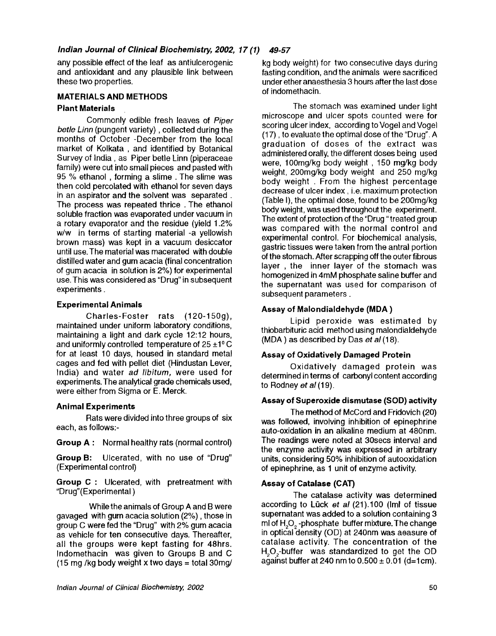any possible effect of the leaf as antiulcerogenic and antioxidant and any plausible link between these two properties.

#### **MATERIALS AND METHODS**

#### **Plant Materials**

Commonly edible fresh leaves of *Piper betle Linn (pungent variety), collected during the* months of October -December from the local market of Kolkata, and identified by Botanical Survey of India, as Piper betle Linn (piperaceae family) were cut into small pieces and pasted with 95 % ethanol, forming a slime. The slime was then cold percolated with ethanol for seven days in an aspirator and the solvent was separated. The process was repeated thrice. The ethanol soluble fraction was evaporated under vacuum in a rotary evaporator and the residue (yield 1.2% w/w in terms of starting material -a yellowish brown mass) was kept in a vacuum desiccator until use. The material was macerated with double distilled water and gum acacia (final concentration of gum acacia in solution is 2%) for experimental use. This was considered as "Drug" in subsequent experiments.

#### **Experimental Animals**

Charles-Foster rats (120-150g), maintained under uniform laboratory conditions, maintaining a light and dark cycle 12:12 hours, and uniformly controlled temperature of  $25 \pm 1^{\circ}$  C for at least 10 days, housed in standard metal cages and fed with pellet diet (Hindustan Lever, India) and water ad libitum, were used for experiments. The analytical grade chemicals used, were either from Sigma or E. Merck.

#### **Animal Experiments**

Rats were divided into three groups of six each, as follows:-

Group A : Normal healthy rats (normal control)

**Group B:** Ulcerated, with no use of "Drug" (Experimental control)

**Group** C : Ulcerated, with pretreatment with "Drug"(Experimental )

Whilethe animals of Group A and B were gavaged with gum acacia solution (2%), those in group C were fed the "Drug" with 2% gum acacia as vehicle for ten consecutive days. Thereafter, all the groups were kept fasting for 48hrs. Indomethacin was given to Groups B and C (15 mg/kg body weight x two days = total 30mg/

kg body weight) for two consecutive days during fasting condition, and the animals were sacrificed under ether anaesthesia 3 hours after the last dose of indomethacin.

The stomach was examined under light microscope and ulcer spots counted were for scoring ulcer index, according to Vogel and Vogel (17), to evaluate the optimal dose of the "Drug". A graduation of doses of the extract was administered orally, the different doses being used were, 100mg/kg body weight , 150 mg/kg body weight, 200mg/kg body weight and 250 mg/kg body weight . From the highest percentage decrease of ulcer index, i.e. maximum protection (Table I), the optimal dose, found to be 200mg/kg body weight, was used throughout the experiment. The extent of protection of the "Drug "treated group was compared with the normal control and experimental control. For biochemical analysis, gastric tissues were taken from the antral portion of the stomach. After scrapping off the outer fibrous layer , the inner layer of the stomach was homogenized in 4mM phosphate saline buffer and the supernatant was used for comparison of subsequent parameters.

#### **Assay of Malondialdehyde (MDA)**

Lipid peroxide was estimated by thiobarbituric acid method using malondialdehyde (MDA) as described by Das *et* a/(18).

#### **Assay of Oxidatively Damaged Protein**

Oxidatively damaged protein was determined in terms of carbonyl content according to Rodney *et* a/(19).

#### **Assay of Superoxide dismutase (SOD) activity**

The method of McCord and Fridovich (20) was followed, involving inhibition of epinephrine auto-oxidation in an alkaline medium at 480nm. **The** readings were noted at 30secs interval and **the** enzyme activity was expressed in arbitrary units, considering 50% inhibition of autooxidation of epinephrine, as 1 unit of enzyme activity.

#### **Assay of Catalase (CAT)**

The catalase activity was determined according to Lück *et al* (21).100 (Iml of tissue supernatant was added to a solution containing 3 ml of  $H_2O_2$  -phosphate buffer mixture. The change in optical density (OD) at 240nm was aeasure of catatase activity. The concentration of **the**  H<sub>2</sub>O<sub>2</sub>-buffer was standardized to get the OD against buffer at 240 nm to  $0.500 \pm 0.01$  (d=1cm).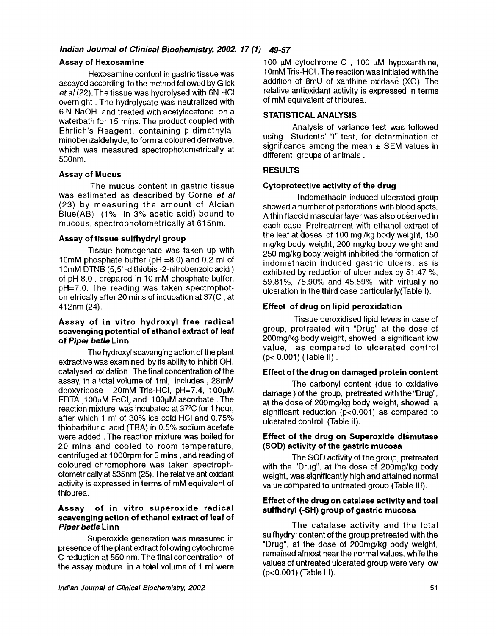#### **Assay of Hexosamine**

Hexosamine content in gastric tissue was assayed according to the method followed by Glick *et al* (22). The tissue was hydrolysed with 6N HCI overnight. The hydrolysate was neutralized with 6 N NaOH and treated with acetylacetone on a waterbath for 15 mins. The product coupled with Ehrlich's Reagent, containing p-dimethylaminobenzaldehyde, to form a coloured derivative, which was measured spectrophotometrically at 530nm.

#### **Assay of Mucus**

The mucus content in gastric tissue was estimated as described by Corne *et al*  (23) by measuring the amount of Alcian Blue(AB) (1% in 3% acetic acid) bound to mucous, spectrophotometrically at 61 5nm.

#### **Assay of tissue sulfhydryl group**

Tissue homogenate was taken up with 10mM phosphate buffer (pH =8.0) and 0.2 ml of 10mM DTNB (5, 5'-dithiobis -2-nitrobenzoic acid ) of pH 8.0, prepared in 10 mM phosphate buffer, pH=7.0. The reading was taken spectrophotometrically after 20 mins of incubation at 37(C, at 412nm (24).

#### **Assay of in vitro hydroxyl free radical scavenging potential of ethanol extract of leaf of** *Piper betle* **Linn**

The hydroxyl scavenging action of the plant extractive was examined by its ability to inhibit OH. catalysed oxidation. The final concentration of the assay, in a total volume of 1ml, includes, 28mM deoxyribose, 20mM Tris-HCI, pH=7.4, 100µM EDTA, 100µM FeCI, and 100µM ascorbate. The reaction mixture was incubated at 37°C for 1 hour, after which 1 ml of 30% ice cold HCI and 0.75% thiobarbituric acid (TBA) in 0.5% sodium acetate were added. The reaction mixture was boiled for 20 mins and cooled to room temperature, centrifuged at 1000rpm for 5 mins, and reading of coloured chromophore was taken spectrophotometrically at 535nm (25). The relative antioxidant activity is expressed in terms of mM equivalent of thiourea.

#### **Assay of in vitro superoxide radical scavenging action of ethanol extract of leaf of**  *Piper betle* **Linn**

Superoxide generation was measured in presence of the plant extract following *cytochrome*  C reduction at 550 nm. The final concentration of the assay mixture in a total volume of 1 ml were 100  $\mu$ M cytochrome C, 100  $\mu$ M hypoxanthine, 10mM Tris-HCI. The reaction was initiated with the addition of 8mU of xanthine oxidase (XO). The relative antioxidant activity is expressed in terms of mM equivalent of thiourea.

#### **STATISTICAL** ANALYSIS

Analysis of variance test was followed using Students' "t" test, for determination of significance among the mean  $\pm$  SEM values in different groups of animals.

#### **RESULTS**

#### **Cytoprotective activity of the drug**

Indomethacin induced ulcerated group showed a number of perforations with blood spots. A thin flaccid mascular layer was also observed in each case. Pretreatment with ethanol extract of the leaf at  $d$ oses of 100 mg/kg body weight, 150 mg/kg body weight, 200 mg/kg body weight and 250 mg/kg body weight inhibited the formation of indomethacin induced gastric ulcers, as is exhibited by reduction of ulcer index by 51.47 %, 59.81%, 75.90% and 45.59%, with virtually no ulceration in the third case particularly(Table I).

#### **Effect of drug on lipid peroxidation**

Tissue peroxidised lipid levels in case of group, pretreated with "Drug" at the dose of 200mg/kg body weight, showed a significant low value, as compared to ulcerated control (p< 0.001) (Table II).

#### **Effect of the drug on damaged protein content**

The carbonyl content (due to oxidative damage ) of the group, pretreated with the"Drug", at the dose of 200mg/kg body weight, showed a significant reduction (p<0.001) as compared to ulcerated control (Table II).

#### **Effect of the drug on Superoxide dismutase (SOD) activity of the gastric mucosa**

The SOD activity of the group, pretreated with the "Drug", at the dose of 200mg/kg body weight, was significantly high and attained normal value compared to untreated group (Table III).

#### **Effect of the drug on catalase activity and toal sulfhdryl (-SH) group of gastric mucosa**

The catalase activity and the total sulfhydryl content of the group pretreated with the "Drug', at the dose of 200mg/kg body weight, remained almost near the normal values, while the values of untreated ulcerated group were very low (p<0.001) (Table III).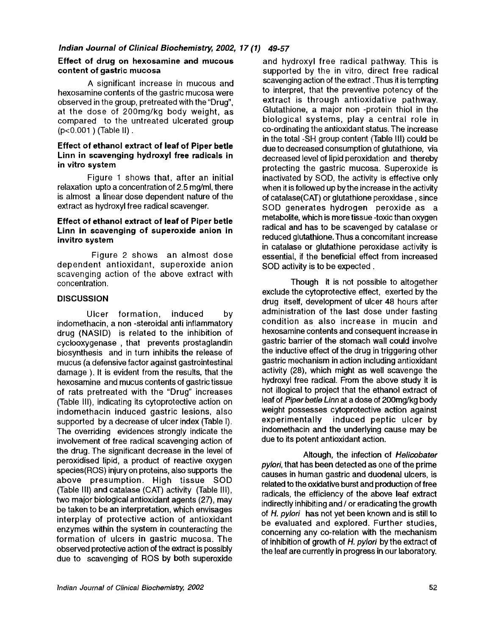#### **Effect of drug on hexosamine and mucous content of gastric mucosa**

A significant increase in mucous and hexosamine contents of the gastric mucosa were observed in the group, pretreated with the "Drug", at the dose of 200mg/kg body weight, as compared to the untreated ulcerated group (p<0.001) (Table II).

#### **Effect of ethanol extract of leaf of Piper betle Linn in scavenging hydroxyl free radicals in in vitro system**

Figure 1 shows that, after an initial relaxation upto a concentration of 2.5 mg/ml, there is almost a linear dose dependent nature of the extract as hydroxyl free radical scavenger.

#### **Effect of ethanol extract of leaf of Piper betle Linn in scavenging of superoxide anion in invitro system**

Figure 2 shows an almost dose dependent antioxidant, superoxide anion scavenging action of the above extract with concentration.

#### **DISCUSSION**

Ulcer formation, induced by indomethacin, a non -steroidal anti inflammatory drug (NASID) is related to the inhibition of cyclooxygenase , that prevents prostaglandin biosynthesis and in turn inhibits the release of mucus (a defensive factor against gastrointestinal damage ). It is evident from the results, that the hexosamine and mucus contents of gastric tissue of rats pretreated with the "Drug" increases (Table III), indicating its cytoprotective action on indomethacin induced gastric lesions, also supported by a decrease of ulcer index (Table I). The overriding evidences strongly indicate the involvement of free radical scavenging action of the drug. The significant decrease in the level of peroxidised lipid, a product of reactive oxygen species(ROS) injury on proteins, also supports the above presumption. High tissue SOD (Table III) and catalase (CAT) activity (Table III), two major biological antioxidant agents (27), may be taken to be an interpretation, which envisages interplay of protective action of antioxidant enzymes within the system in counteracting the formation of ulcers in gastric mucosa. The observed protective action of the extract is possibly due to scavenging of ROS by both superoxide

and hydroxyl free radical pathway. This is supported by the in vitro, direct free radical scavenging action of the extract .Thus it is tempting to interpret, that the preventive potency of the extract is through antioxidative pathway. Glutathione, a major non -protein thiol in the biological systems, play a central role in co-ordinating the antioxidant status. The increase in the total -SH group content (Table III) could be due to decreased consumption of glutathione, via decreased level of lipid peroxidation and thereby protecting the gastric mucosa. Superoxide is inactivated by SOD, the activity is effective only when it is followed up bythe increase in the activity of catalase(CAT) or glutathione peroxidase, since SOD generates hydrogen peroxide as a metabolite, which is more tissue -toxic than oxygen radical and has to be scavenged by catalase or reduced glutathione. Thus a concomitant increase in catalase or glutathione peroxidase activity is essential, if the beneficial effect from increased SOD activity is to be expected.

Though it is not possible to altogether exclude the cytoprotective effect, exerted by the drug itself, development of ulcer 48 hours after administration of the last dose under fasting condition as also increase in mucin and hexosamine contents and consequent increase in gastric barrier of the stomach wall could involve the inductive effect of the drug in triggering other gastric mechanism in action including antioxidant activity (28), which might as well scavenge the hydroxyl free radical. From the above study it is not illogical to project that the ethanol extract of leaf of *Piperbetle Linn* at a dose of 200mg/kg body weight possesses cytoprotective action against experimentally induced peptic ulcer by indomethacin and the underlying cause may be due to its potent antioxidant action.

Altough, the infection of *Helicobater pylori,* that has been detected as one of the prime causes in human gastric and duodenal ulcers, is related to the oxidative burst and production of free radicals, the efficiency of the above leaf extract indirectly inhibiting and / or eradicating the growth of *H. pylori* has not yet been known and is still to be evaluated and explored. Further studies, concerning any co-relation with the mechanism of inhibition of growth of H. *pylori* by the extract of the leaf are currently in progress in our laboratory.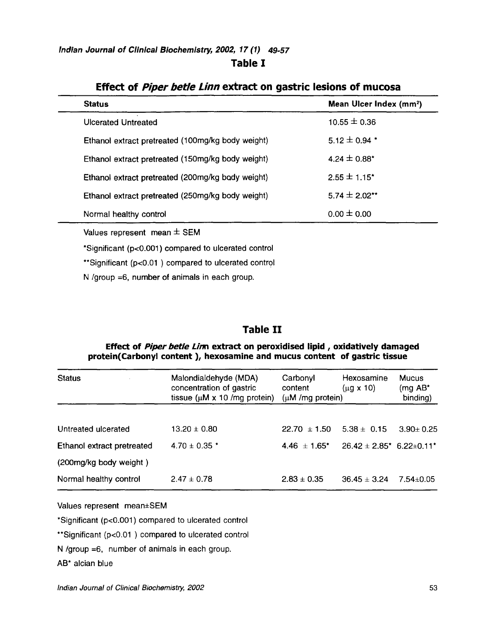**Table I** 

| <b>Status</b>                                     |  | Mean Ulcer Index (mm <sup>2</sup> ) |
|---------------------------------------------------|--|-------------------------------------|
| Ulcerated Untreated                               |  | $10.55 \pm 0.36$                    |
| Ethanol extract pretreated (100mg/kg body weight) |  | $5.12 \pm 0.94$ *                   |
| Ethanol extract pretreated (150mg/kg body weight) |  | 4.24 $\pm$ 0.88*                    |
| Ethanol extract pretreated (200mg/kg body weight) |  | $2.55 \pm 1.15$ <sup>*</sup>        |
| Ethanol extract pretreated (250mg/kg body weight) |  | $5.74 \pm 2.02$ **                  |
| Normal healthy control                            |  | $0.00 \pm 0.00$                     |

### **Effect of** *Piper betle Linn* **extract on gastric lesions of mucosa**

Values represent mean  $\pm$  SEM

l,

\*Significant (p<0.001) compared to ulcerated control

\*\*Significant (p<0.01) compared to ulcerated control

N/group =6, number of animals in each group.

## **Table II**

#### **Effect of** *Piper betle Linn* **extract on peroxidised lipid, oxidatively damaged protein(Carbonyl content ), hexosamine and mucus content of gastric tissue**

| <b>Status</b>              | Malondialdehyde (MDA)<br>concentration of gastric | Carbonyl<br>content  | Hexosamine<br>$(\mu$ g x 10)  | <b>Mucus</b><br>(mg $AB^*$ |  |
|----------------------------|---------------------------------------------------|----------------------|-------------------------------|----------------------------|--|
|                            | tissue ( $\mu$ M x 10 /mg protein)                | $(\mu M/mg$ protein) |                               | binding)                   |  |
| Untreated ulcerated        | $13.20 \pm 0.80$                                  | $22.70 \pm 1.50$     | $5.38 \pm 0.15$               | $3.90 \pm 0.25$            |  |
| Ethanol extract pretreated | $4.70 \pm 0.35$ *                                 | $4.46 \pm 1.65$ *    | $26.42 \pm 2.85$ * 6.22±0.11* |                            |  |
| (200mg/kg body weight)     |                                                   |                      |                               |                            |  |
| Normal healthy control     | $2.47 \pm 0.78$                                   | $2.83 \pm 0.35$      | $36.45 \pm 3.24$              | 7.54±0.05                  |  |

Values represent mean+SEM

\*Significant (p<0.001) compared to ulcerated control

\*\*Significant (p<0.01) compared to ulcerated control

N/group =6, number of animals in each group.

AB\* alcian blue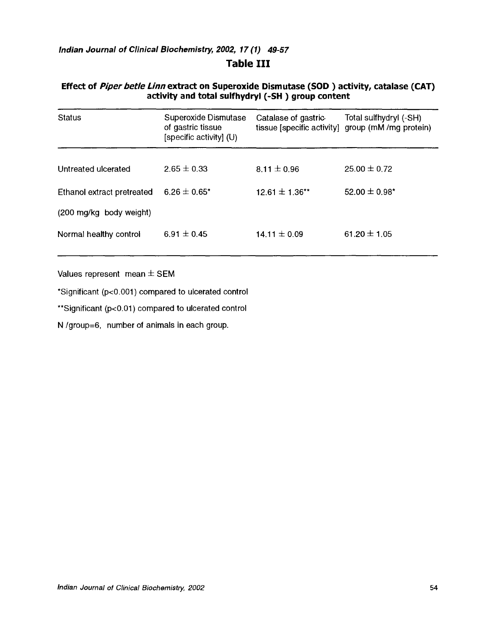## **Table III**

#### **Effect of** *Piper betle Linn* **extract on Superoxide Dismutase (SOD) activity, catalase (CAT) activity and total sulfhydryl (-SH) group content**

| <b>Status</b>              | Superoxide Dismutase<br>of gastric tissue<br>[specific activity] (U) | Catalase of gastric | Total sulfhydryl (-SH)<br>tissue [specific activity] group (mM /mg protein) |
|----------------------------|----------------------------------------------------------------------|---------------------|-----------------------------------------------------------------------------|
| Untreated ulcerated        | $2.65 \pm 0.33$                                                      | $8.11 \pm 0.96$     | $25.00 \pm 0.72$                                                            |
| Ethanol extract pretreated | $6.26 \pm 0.65^*$                                                    | 12.61 $\pm$ 1.36**  | 52.00 $\pm$ 0.98*                                                           |
| (200 mg/kg body weight)    |                                                                      |                     |                                                                             |
| Normal healthy control     | 6.91 $\pm$ 0.45                                                      | 14.11 $\pm$ 0.09    | 61.20 $\pm$ 1.05                                                            |

Values represent mean  $\pm$  SEM

\*Significant (p<0.001) compared to ulcerated control

\*\*Significant (p<0.01) compared to ulcerated control

N/group=6, number of animals in each group.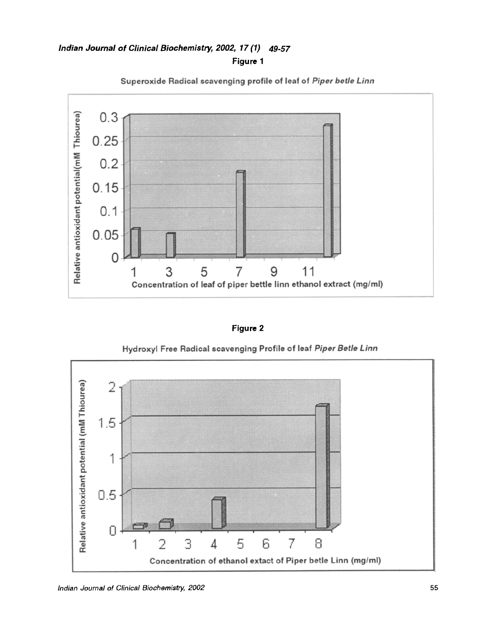**Figure 1** 



**Superoxide Radical scavenging profile of leaf of** *Piper betle Linn* 

**Figure 2** 

**Hydroxyl Free Radical scavenging Profile of leaf** *Piper Betle Linn* 

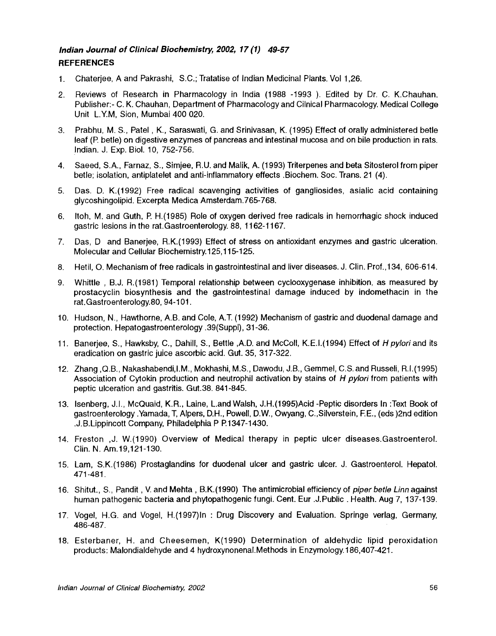#### *Indian Journal of Clinical Biochemistry, 2002, 17 (1) 49-57*  **REFERENCES**

- 1, Chaterjee, A and Pakrashi, S.C.; Tratatise of Indian Medicinal Plants. Vol 1,26.
- 2. Reviews of Research in Pharmacology in India (1988 -1993 ). Edited by Dr. C. K.Chauhan. Publisher:- C. K. Chauhan, Department of Pharmacology and Cilnical Pharmacology. Medical College Unit L.Y.M, Sion, Mumbai 400 020.
- 3. Prabhu, M. S., Patel, K., Saraswati, G. and Srinivasan, K. (1995) Effect of orally administered betle leaf (P. betle) on digestive enzymes of pancreas and intestinal mucosa and on bile production in rats. Indian. J. Exp. Biol. 10, 752-756.
- 4. Saeed, S.A., Farnaz, S., Simjee, R.U. and Malik, A. (1993) Triterpenes and beta Sitosterol from piper betle; isolation, antiplatelet and anti-inflammatory effects .Biochem. Soc. Trans. 21 (4).
- 5. Das. D. K.(1992) Free radical scavenging activities of gangliosides, asialic acid containing glycoshingolipid. Excerpta Medica Amsterdam.765-768.
- 6. Itoh, M. and Guth, P. H.(1985) Role of oxygen derived free radicals in hemorrhagic shock induced gastric lesions in the rat.Gastroenterology. 88, 1162-1167.
- 7. Das, D and Banerjee, R.K.(1993) Effect of stress on antioxidant enzymes and gastric ulceration. Molecular and Cellular Biochemistry. 125,115-125.
- 8. Hetil, O. Mechanism of free radicals in gastrointestinal and liver diseases. J. Clin. Prof.,134, 606-614.
- 9. Whittle , B.J.R.(1981) Temporal relationship between cyclooxygenase inhibition, as measured by prostacyclin biosynthesis and the gastrointestinal damage induced by indomethacin in the rat.Gastroenterology.80, 94-101.
- 10. Hudson, N., Hawthorne, A.B. and Cole, A.T. (1992) Mechanism of gastric and duodenal damage and protection. Hepatogastroenterology .39(Suppl), 31-36.
- 11. Banerjee, S., Hawksby, C., Dahill, S., Bettle ,A.D. and McColl, K.E.I.(1994) Effect of *Hpyloriand* its eradication on gastric juice ascorbic acid. Gut. 35, 317-322.
- 12. Zhang ,Q.B., Nakashabendi,I.M., Mokhashi, M.S., Dawodu, J.B., Gemmel, C.S. and Russeli, R.1.(1995) Association of Cytokin production and neutrophil activation by stains *of H pylori* from patients with peptic ulceration and gastritis. Gut.38. 841-845.
- 13. Isenberg, J.l., McQuaid, K.R., Laine, L.and Walsh, J.H.(1995)Acid-Peptic disorders In :Text Book of gastroenterology .Yamada, T, Alpers, D.H., Powell, D.W., Owyang, C.,Silverstein, EE., (eds)2nd edition .J.B.Lippincott Company, Philadelphia P P. 1347-1430.
- 14. Freston ,J. W.(1990) Overview of Medical therapy in peptic ulcer diseases.Gastroenterol. Clin. N. Am.19,121-130.
- 15. Lam, S.K.(1986) Prostaglandins for duodenal ulcer and gastric ulcer. J. Gastroenterol. Hepatol. 471-481.
- 16. Shitut., S., Pandit, V. and Mehta, B.K.(1990) The antimicrobial efficiency of *piper betle Linn* against human pathogenic bacteria and phytopathogenic fungi. Cent. Eur .J.Public. Health. Aug 7, 137-139.
- 17. Vogel, H.G. and Vogel, H.(1997)ln : Drug Discovery and Evaluation. Springe verlag, Germany, 486-487.
- 18. Esterbaner, H. and Cheesemen, K(1990) Determination of aldehydic lipid peroxidation products: Malondialdehyde and 4 hydroxynonenal.Methods in Enzymology.186,407-421.